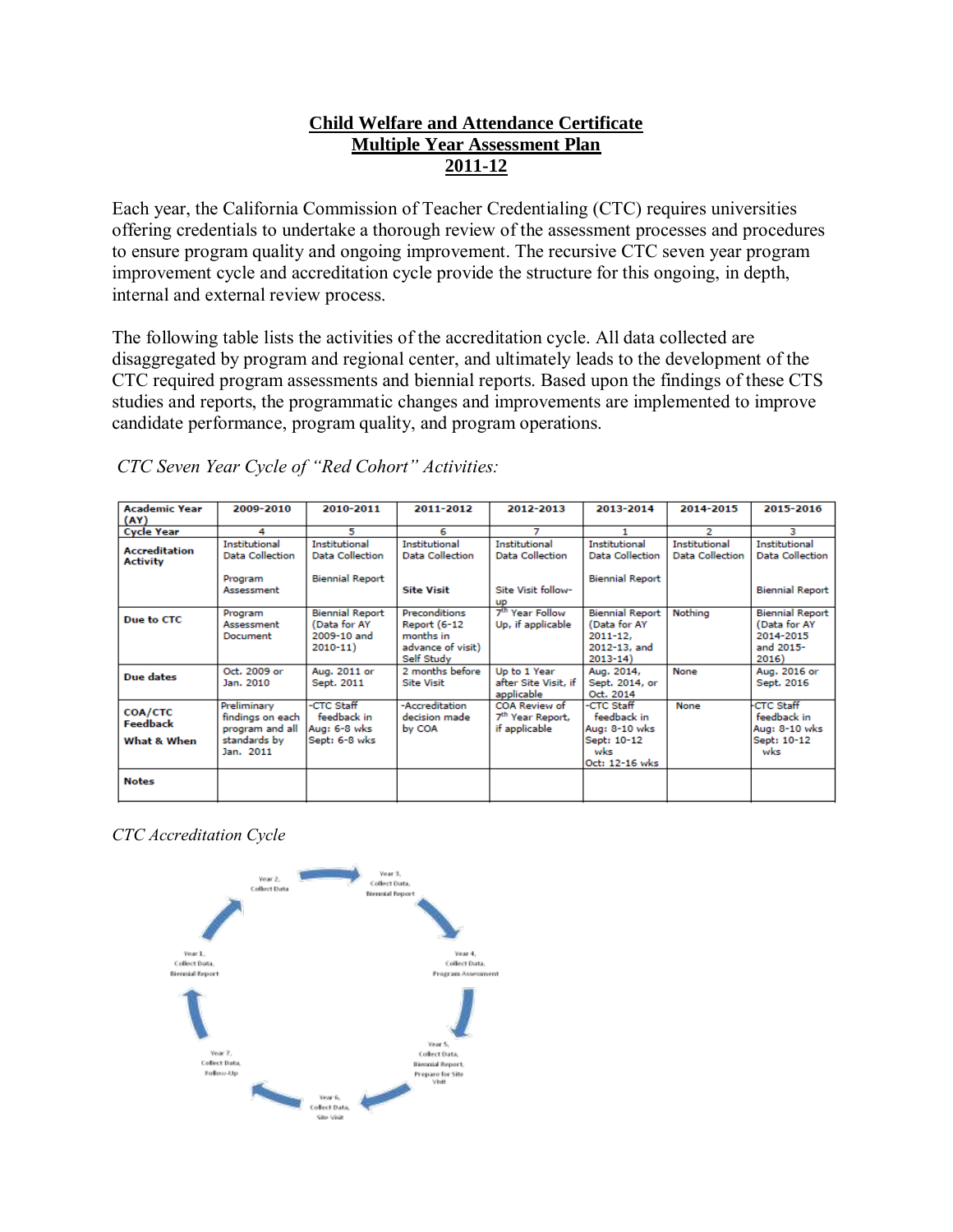## **Child Welfare and Attendance Certificate Multiple Year Assessment Plan 2011-12**

Each year, the California Commission of Teacher Credentialing (CTC) requires universities offering credentials to undertake a thorough review of the assessment processes and procedures to ensure program quality and ongoing improvement. The recursive CTC seven year program improvement cycle and accreditation cycle provide the structure for this ongoing, in depth, internal and external review process.

The following table lists the activities of the accreditation cycle. All data collected are disaggregated by program and regional center, and ultimately leads to the development of the CTC required program assessments and biennial reports. Based upon the findings of these CTS studies and reports, the programmatic changes and improvements are implemented to improve candidate performance, program quality, and program operations.

**Academic Year** 2009-2010 2010-2011 2011-2012 2012-2013 2013-2014 2014-2015 2015-2016  $(AY)$ **Cycle Year** 4 **Institutional Institutional Institutional Institutional Institutional Institutional Institutional** Accreditation Data Collection **Data Collection Data Collection Data Collection Data Collection Data Collection Data Collection Activity** Program **Biennial Report Biennial Report** Assessment **Site Visit** Site Visit follow-**Biennial Report** 뿗 Year Follow Program **Biennial Report** Preconditions **Biennial Report** Nothing **Biennial Report** Due to CTC (Data for AY (Data for AY Assessment Report (6-12 Up, if applicable (Data for AY 2009-10 and months in 2011-12. 2014-2015 Document  $2010 - 11)$ advance of visit) 2012-13, and and 2015-Self Study  $2013 - 14$ 2016) Aug. 2011 or Aug. 2016 or Oct. 2009 or Up to 1 Year None 2 months before Aug. 2014, **Due dates** Jan. 2010 Sept. 2011 **Site Visit** after Site Visit, if Sept. 2014, or Sept. 2016 applicable Oct. 2014 Preliminary **CTC Staff** -Accreditation **COA Review of CTC Staff** None **CTC Staff** COA/CTC findings on each feedback in decision made 7<sup>th</sup> Year Report, feedback in feedback in Feedback Aug: 6-8 wks by COA if applicable Aug: 8-10 wks Aug: 8-10 wks program and all **What & When** Sept: 6-8 wks Sept: 10-12 Sept: 10-12 standards by Jan. 2011 wks wks Oct: 12-16 wks **Notes** 

*CTC Seven Year Cycle of "Red Cohort" Activities:*

*CTC Accreditation Cycle*

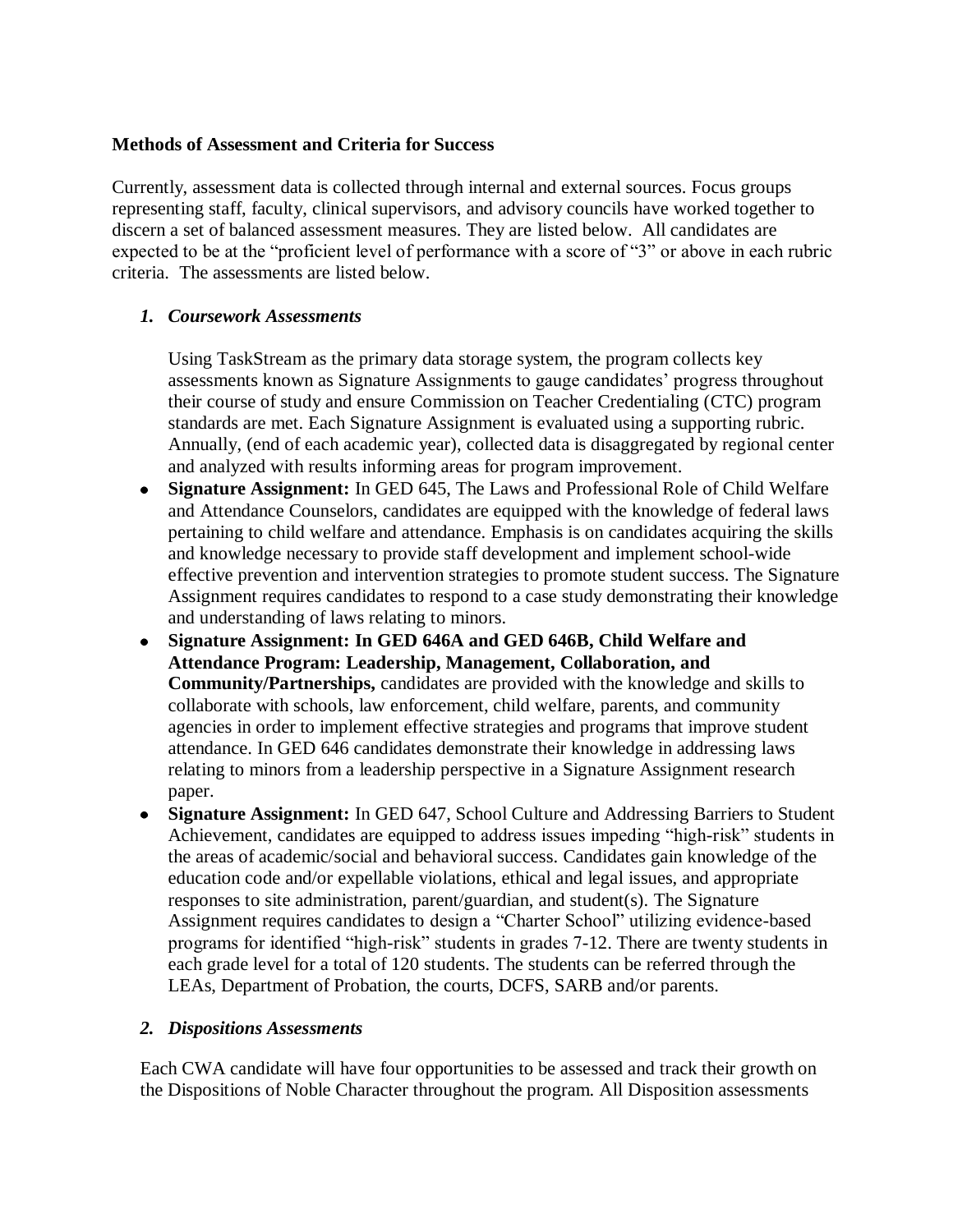## **Methods of Assessment and Criteria for Success**

Currently, assessment data is collected through internal and external sources. Focus groups representing staff, faculty, clinical supervisors, and advisory councils have worked together to discern a set of balanced assessment measures. They are listed below. All candidates are expected to be at the "proficient level of performance with a score of "3" or above in each rubric criteria. The assessments are listed below.

## *1. Coursework Assessments*

Using TaskStream as the primary data storage system, the program collects key assessments known as Signature Assignments to gauge candidates' progress throughout their course of study and ensure Commission on Teacher Credentialing (CTC) program standards are met. Each Signature Assignment is evaluated using a supporting rubric. Annually, (end of each academic year), collected data is disaggregated by regional center and analyzed with results informing areas for program improvement.

- **Signature Assignment:** In GED 645, The Laws and Professional Role of Child Welfare  $\bullet$ and Attendance Counselors, candidates are equipped with the knowledge of federal laws pertaining to child welfare and attendance. Emphasis is on candidates acquiring the skills and knowledge necessary to provide staff development and implement school-wide effective prevention and intervention strategies to promote student success. The Signature Assignment requires candidates to respond to a case study demonstrating their knowledge and understanding of laws relating to minors.
- **Signature Assignment: In GED 646A and GED 646B, Child Welfare and**   $\bullet$ **Attendance Program: Leadership, Management, Collaboration, and Community/Partnerships,** candidates are provided with the knowledge and skills to collaborate with schools, law enforcement, child welfare, parents, and community agencies in order to implement effective strategies and programs that improve student attendance. In GED 646 candidates demonstrate their knowledge in addressing laws relating to minors from a leadership perspective in a Signature Assignment research paper.
- **Signature Assignment:** In GED 647, School Culture and Addressing Barriers to Student Achievement, candidates are equipped to address issues impeding "high-risk" students in the areas of academic/social and behavioral success. Candidates gain knowledge of the education code and/or expellable violations, ethical and legal issues, and appropriate responses to site administration, parent/guardian, and student(s). The Signature Assignment requires candidates to design a "Charter School" utilizing evidence-based programs for identified "high-risk" students in grades 7-12. There are twenty students in each grade level for a total of 120 students. The students can be referred through the LEAs, Department of Probation, the courts, DCFS, SARB and/or parents.

## *2. Dispositions Assessments*

Each CWA candidate will have four opportunities to be assessed and track their growth on the Dispositions of Noble Character throughout the program. All Disposition assessments